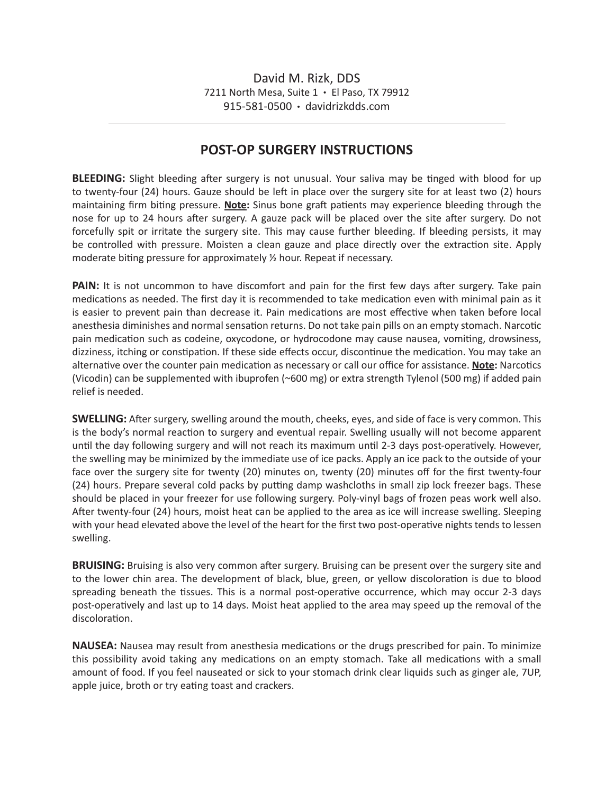## **POST-OP SURGERY INSTRUCTIONS**

**BLEEDING:** Slight bleeding after surgery is not unusual. Your saliva may be tinged with blood for up to twenty-four (24) hours. Gauze should be left in place over the surgery site for at least two (2) hours maintaining firm biting pressure. **Note:** Sinus bone graft patients may experience bleeding through the nose for up to 24 hours after surgery. A gauze pack will be placed over the site after surgery. Do not forcefully spit or irritate the surgery site. This may cause further bleeding. If bleeding persists, it may be controlled with pressure. Moisten a clean gauze and place directly over the extraction site. Apply moderate biting pressure for approximately ½ hour. Repeat if necessary.

**PAIN:** It is not uncommon to have discomfort and pain for the first few days after surgery. Take pain medications as needed. The first day it is recommended to take medication even with minimal pain as it is easier to prevent pain than decrease it. Pain medications are most effective when taken before local anesthesia diminishes and normal sensation returns. Do not take pain pills on an empty stomach. Narcotic pain medication such as codeine, oxycodone, or hydrocodone may cause nausea, vomiting, drowsiness, dizziness, itching or constipation. If these side effects occur, discontinue the medication. You may take an alternative over the counter pain medication as necessary or call our office for assistance. **Note:** Narcotics (Vicodin) can be supplemented with ibuprofen (~600 mg) or extra strength Tylenol (500 mg) if added pain relief is needed.

**SWELLING:** After surgery, swelling around the mouth, cheeks, eyes, and side of face is very common. This is the body's normal reaction to surgery and eventual repair. Swelling usually will not become apparent until the day following surgery and will not reach its maximum until 2-3 days post-operatively. However, the swelling may be minimized by the immediate use of ice packs. Apply an ice pack to the outside of your face over the surgery site for twenty (20) minutes on, twenty (20) minutes off for the first twenty-four (24) hours. Prepare several cold packs by putting damp washcloths in small zip lock freezer bags. These should be placed in your freezer for use following surgery. Poly-vinyl bags of frozen peas work well also. After twenty-four (24) hours, moist heat can be applied to the area as ice will increase swelling. Sleeping with your head elevated above the level of the heart for the first two post-operative nights tends to lessen swelling.

**BRUISING:** Bruising is also very common after surgery. Bruising can be present over the surgery site and to the lower chin area. The development of black, blue, green, or yellow discoloration is due to blood spreading beneath the tissues. This is a normal post-operative occurrence, which may occur 2-3 days post-operatively and last up to 14 days. Moist heat applied to the area may speed up the removal of the discoloration.

**NAUSEA:** Nausea may result from anesthesia medications or the drugs prescribed for pain. To minimize this possibility avoid taking any medications on an empty stomach. Take all medications with a small amount of food. If you feel nauseated or sick to your stomach drink clear liquids such as ginger ale, 7UP, apple juice, broth or try eating toast and crackers.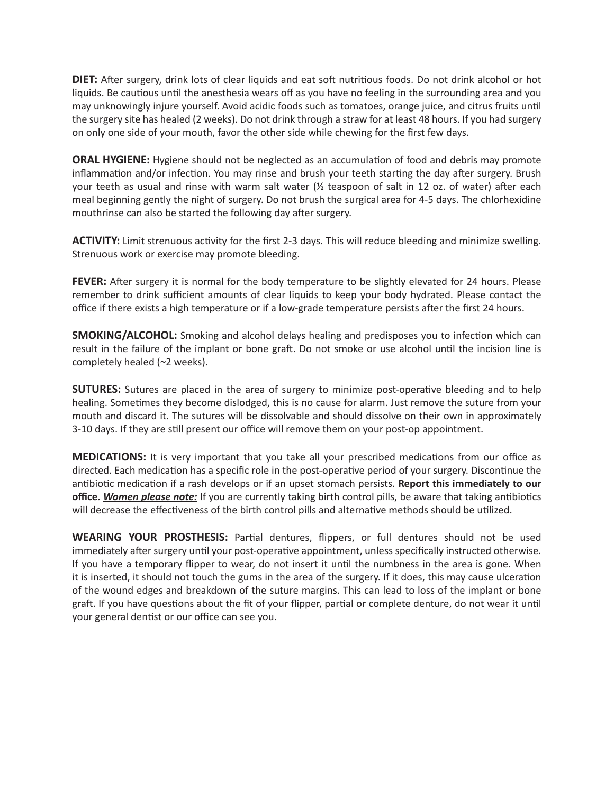**DIET:** After surgery, drink lots of clear liquids and eat soft nutritious foods. Do not drink alcohol or hot liquids. Be cautious until the anesthesia wears off as you have no feeling in the surrounding area and you may unknowingly injure yourself. Avoid acidic foods such as tomatoes, orange juice, and citrus fruits until the surgery site has healed (2 weeks). Do not drink through a straw for at least 48 hours. If you had surgery on only one side of your mouth, favor the other side while chewing for the first few days.

**ORAL HYGIENE:** Hygiene should not be neglected as an accumulation of food and debris may promote inflammation and/or infection. You may rinse and brush your teeth starting the day after surgery. Brush your teeth as usual and rinse with warm salt water  $\frac{1}{2}$  teaspoon of salt in 12 oz. of water) after each meal beginning gently the night of surgery. Do not brush the surgical area for 4-5 days. The chlorhexidine mouthrinse can also be started the following day after surgery.

**ACTIVITY:** Limit strenuous activity for the first 2-3 days. This will reduce bleeding and minimize swelling. Strenuous work or exercise may promote bleeding.

**FEVER:** After surgery it is normal for the body temperature to be slightly elevated for 24 hours. Please remember to drink sufficient amounts of clear liquids to keep your body hydrated. Please contact the office if there exists a high temperature or if a low-grade temperature persists after the first 24 hours.

**SMOKING/ALCOHOL:** Smoking and alcohol delays healing and predisposes you to infection which can result in the failure of the implant or bone graft. Do not smoke or use alcohol until the incision line is completely healed (~2 weeks).

**SUTURES:** Sutures are placed in the area of surgery to minimize post-operative bleeding and to help healing. Sometimes they become dislodged, this is no cause for alarm. Just remove the suture from your mouth and discard it. The sutures will be dissolvable and should dissolve on their own in approximately 3-10 days. If they are still present our office will remove them on your post-op appointment.

**MEDICATIONS:** It is very important that you take all your prescribed medications from our office as directed. Each medication has a specific role in the post-operative period of your surgery. Discontinue the antibiotic medication if a rash develops or if an upset stomach persists. **Report this immediately to our office.** *Women please note:* If you are currently taking birth control pills, be aware that taking antibiotics will decrease the effectiveness of the birth control pills and alternative methods should be utilized.

**WEARING YOUR PROSTHESIS:** Partial dentures, flippers, or full dentures should not be used immediately after surgery until your post-operative appointment, unless specifically instructed otherwise. If you have a temporary flipper to wear, do not insert it until the numbness in the area is gone. When it is inserted, it should not touch the gums in the area of the surgery. If it does, this may cause ulceration of the wound edges and breakdown of the suture margins. This can lead to loss of the implant or bone graft. If you have questions about the fit of your flipper, partial or complete denture, do not wear it until your general dentist or our office can see you.